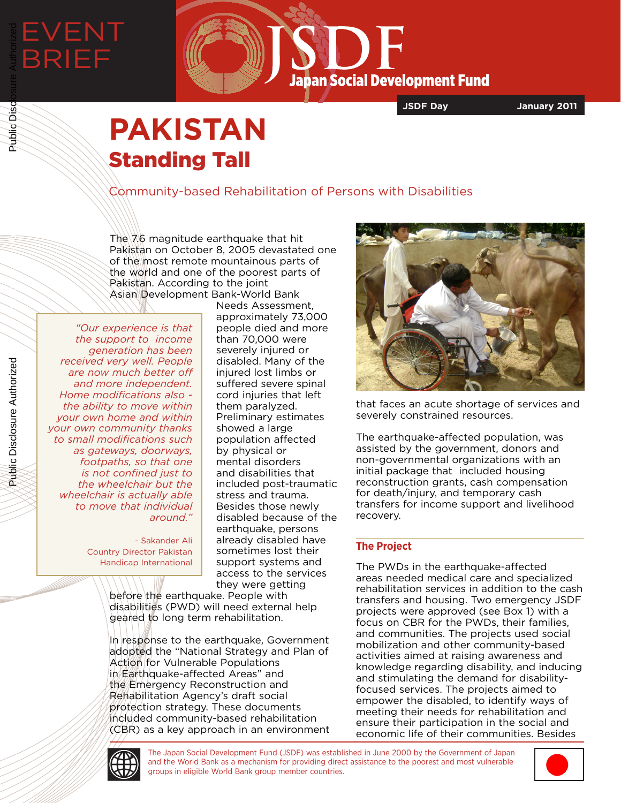# EVENT BRIEF Public Disclosure Authorized



**JSDF Day January 2011**

## **PAKISTAN** Standing Tall

Community-based Rehabilitation of Persons with Disabilities

The  $7.6$  magnitude earthquake that hit Pakistan on October 8, 2005 devastated one of the most remote mountainous parts of the world and one of the poorest parts of Pakistan. According to the joint Asian Development Bank-World Bank

*"Our experience is that the support to income generation has been received very well. People are now much better off and more independent. Home modifications also the ability to move within your own home and within your own community thanks to small modifications such as gateways, doorways, footpaths, so that one is not confined just to the wheelchair but the wheelchair is actually able to move that individual around."*

> - Sakander Ali Country Director Pakistan Handicap International

Needs Assessment, approximately 73,000 people died and more than 70,000 were severely injured or disabled. Many of the injured lost limbs or suffered severe spinal cord injuries that left them paralyzed. Preliminary estimates showed a large population affected by physical or mental disorders and disabilities that included post-traumatic stress and trauma. Besides those newly disabled because of the earthquake, persons already disabled have sometimes lost their support systems and access to the services they were getting

before the earthquake. People with disabilities (PWD) will need external help geared to long term rehabilitation.

In response to the earthquake, Government adopted the "National Strategy and Plan of Action for Vulnerable Populations in Earthquake-affected Areas" and the Emergency Reconstruction and Rehabilitation Agency's draft social protection strategy. These documents included community-based rehabilitation (CBR) as a key approach in an environment



that faces an acute shortage of services and severely constrained resources.

The earthquake-affected population, was assisted by the government, donors and non-governmental organizations with an initial package that included housing reconstruction grants, cash compensation for death/injury, and temporary cash transfers for income support and livelihood recovery.

### **The Project**

The PWDs in the earthquake-affected areas needed medical care and specialized rehabilitation services in addition to the cash transfers and housing. Two emergency JSDF projects were approved (see Box 1) with a focus on CBR for the PWDs, their families, and communities. The projects used social mobilization and other community-based activities aimed at raising awareness and knowledge regarding disability, and inducing and stimulating the demand for disabilityfocused services. The projects aimed to empower the disabled, to identify ways of meeting their needs for rehabilitation and ensure their participation in the social and economic life of their communities. Besides

Public Disclosure Authorized

Public Disclosure Authorized

Public Disc

Public Disclosure Authorized

Public Disclosure Authorized



The Japan Social Development Fund (JSDF) was established in June 2000 by the Government of Japan and the World Bank as a mechanism for providing direct assistance to the poorest and most vulnerable groups in eligible World Bank group member countries.